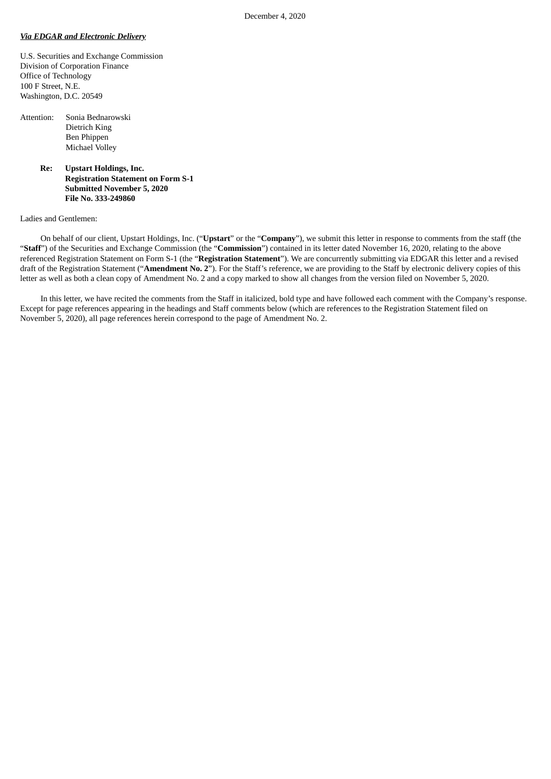## *Via EDGAR and Electronic Delivery*

U.S. Securities and Exchange Commission Division of Corporation Finance Office of Technology 100 F Street, N.E. Washington, D.C. 20549

| Attention: | Sonia Bednarowski |
|------------|-------------------|
|            | Dietrich King     |
|            | Ben Phippen       |
|            | Michael Volley    |
|            |                   |

**Re: Upstart Holdings, Inc. Registration Statement on Form S-1 Submitted November 5, 2020 File No. 333-249860**

## Ladies and Gentlemen:

On behalf of our client, Upstart Holdings, Inc. ("**Upstart**" or the "**Company**"), we submit this letter in response to comments from the staff (the "**Staff**") of the Securities and Exchange Commission (the "**Commission**") contained in its letter dated November 16, 2020, relating to the above referenced Registration Statement on Form S-1 (the "**Registration Statement**"). We are concurrently submitting via EDGAR this letter and a revised draft of the Registration Statement ("**Amendment No. 2**"). For the Staff's reference, we are providing to the Staff by electronic delivery copies of this letter as well as both a clean copy of Amendment No. 2 and a copy marked to show all changes from the version filed on November 5, 2020.

In this letter, we have recited the comments from the Staff in italicized, bold type and have followed each comment with the Company's response. Except for page references appearing in the headings and Staff comments below (which are references to the Registration Statement filed on November 5, 2020), all page references herein correspond to the page of Amendment No. 2.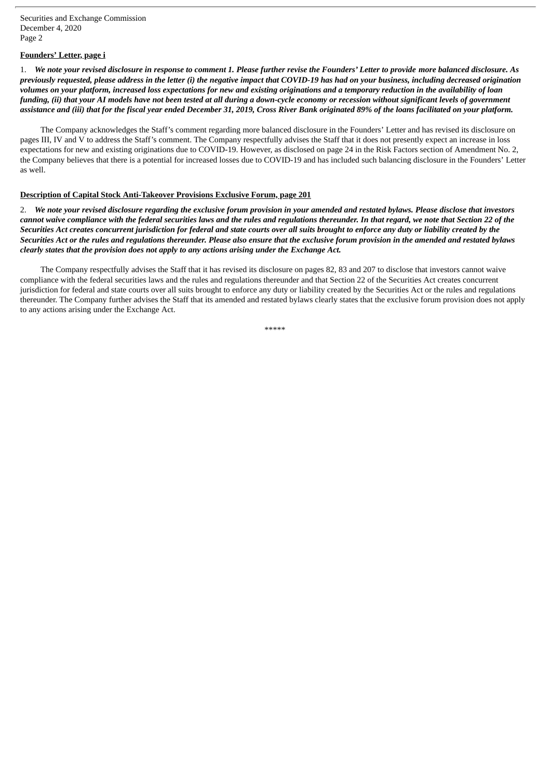Securities and Exchange Commission December 4, 2020 Page 2

## **Founders' Letter, page i**

1. We note your revised disclosure in response to comment 1. Please further revise the Founders' Letter to provide more balanced disclosure. As previously requested, please address in the letter (i) the negative impact that COVID-19 has had on your business, including decreased origination volumes on your platform, increased loss expectations for new and existing originations and a temporary reduction in the availability of loan funding, (ii) that your AI models have not been tested at all during a down-cycle economy or recession without significant levels of government assistance and (iii) that for the fiscal vear ended December 31, 2019. Cross River Bank originated 89% of the loans facilitated on your platform.

The Company acknowledges the Staff's comment regarding more balanced disclosure in the Founders' Letter and has revised its disclosure on pages III, IV and V to address the Staff's comment. The Company respectfully advises the Staff that it does not presently expect an increase in loss expectations for new and existing originations due to COVID-19. However, as disclosed on page 24 in the Risk Factors section of Amendment No. 2, the Company believes that there is a potential for increased losses due to COVID-19 and has included such balancing disclosure in the Founders' Letter as well.

## **Description of Capital Stock Anti-Takeover Provisions Exclusive Forum, page 201**

2. We note your revised disclosure regarding the exclusive forum provision in your amended and restated bylaws. Please disclose that investors cannot waive compliance with the federal securities laws and the rules and regulations thereunder. In that regard, we note that Section 22 of the Securities Act creates concurrent jurisdiction for federal and state courts over all suits brought to enforce any duty or liability created by the Securities Act or the rules and regulations thereunder. Please also ensure that the exclusive forum provision in the amended and restated bylaws *clearly states that the provision does not apply to any actions arising under the Exchange Act.*

The Company respectfully advises the Staff that it has revised its disclosure on pages 82, 83 and 207 to disclose that investors cannot waive compliance with the federal securities laws and the rules and regulations thereunder and that Section 22 of the Securities Act creates concurrent jurisdiction for federal and state courts over all suits brought to enforce any duty or liability created by the Securities Act or the rules and regulations thereunder. The Company further advises the Staff that its amended and restated bylaws clearly states that the exclusive forum provision does not apply to any actions arising under the Exchange Act.

\*\*\*\*\*